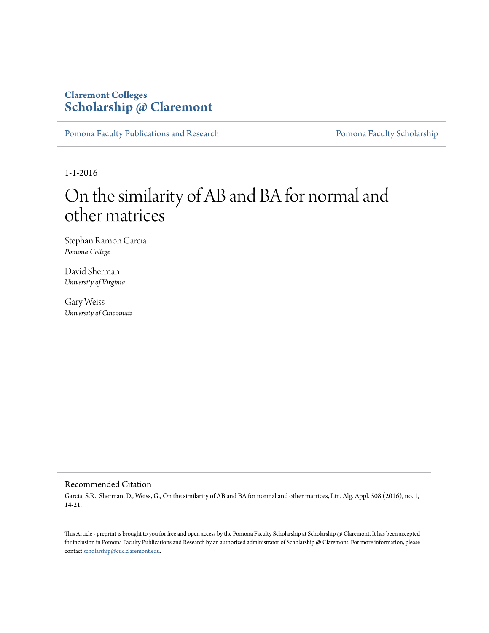# **Claremont Colleges [Scholarship @ Claremont](http://scholarship.claremont.edu)**

[Pomona Faculty Publications and Research](http://scholarship.claremont.edu/pomona_fac_pub) [Pomona Faculty Scholarship](http://scholarship.claremont.edu/pomona_faculty)

1-1-2016

# On the similarity of AB and BA for normal and other matrices

Stephan Ramon Garcia *Pomona College*

David Sherman *University of Virginia*

Gary Weiss *University of Cincinnati*

### Recommended Citation

Garcia, S.R., Sherman, D., Weiss, G., On the similarity of AB and BA for normal and other matrices, Lin. Alg. Appl. 508 (2016), no. 1, 14-21.

This Article - preprint is brought to you for free and open access by the Pomona Faculty Scholarship at Scholarship @ Claremont. It has been accepted for inclusion in Pomona Faculty Publications and Research by an authorized administrator of Scholarship @ Claremont. For more information, please contact [scholarship@cuc.claremont.edu](mailto:scholarship@cuc.claremont.edu).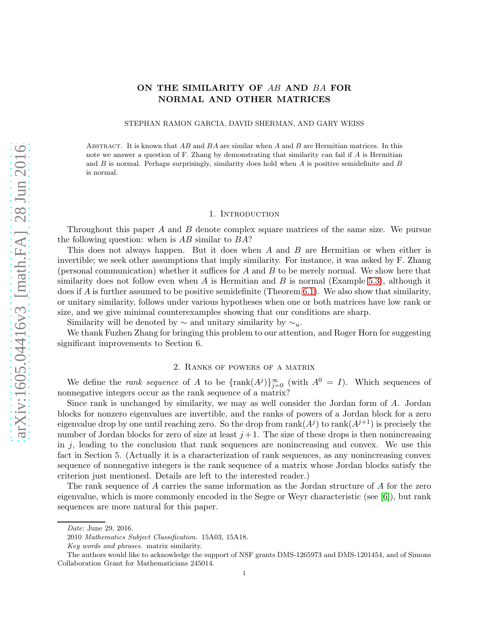## ON THE SIMILARITY OF AB AND BA FOR NORMAL AND OTHER MATRICES

STEPHAN RAMON GARCIA, DAVID SHERMAN, AND GARY WEISS

ABSTRACT. It is known that  $AB$  and  $BA$  are similar when A and B are Hermitian matrices. In this note we answer a question of F. Zhang by demonstrating that similarity can fail if  $A$  is Hermitian and  $B$  is normal. Perhaps surprisingly, similarity does hold when  $A$  is positive semidefinite and  $B$ is normal.

#### 1. INTRODUCTION

Throughout this paper A and B denote complex square matrices of the same size. We pursue the following question: when is  $AB$  similar to  $BA$ ?

This does not always happen. But it does when A and B are Hermitian or when either is invertible; we seek other assumptions that imply similarity. For instance, it was asked by F. Zhang (personal communication) whether it suffices for  $A$  and  $B$  to be merely normal. We show here that similarity does not follow even when  $A$  is Hermitian and  $B$  is normal (Example [5.3\)](#page-4-0), although it does if A is further assumed to be positive semidefinite (Theorem [6.1\)](#page-5-0). We also show that similarity, or unitary similarity, follows under various hypotheses when one or both matrices have low rank or size, and we give minimal counterexamples showing that our conditions are sharp.

Similarity will be denoted by  $\sim$  and unitary similarity by  $\sim_u$ .

We thank Fuzhen Zhang for bringing this problem to our attention, and Roger Horn for suggesting significant improvements to Section 6.

#### 2. Ranks of powers of a matrix

We define the *rank sequence* of A to be  $\{\text{rank}(A^j)\}_{j=0}^{\infty}$  (with  $A^0 = I$ ). Which sequences of nonnegative integers occur as the rank sequence of a matrix?

Since rank is unchanged by similarity, we may as well consider the Jordan form of A. Jordan blocks for nonzero eigenvalues are invertible, and the ranks of powers of a Jordan block for a zero eigenvalue drop by one until reaching zero. So the drop from  $rank(A^{j})$  to  $rank(A^{j+1})$  is precisely the number of Jordan blocks for zero of size at least  $j+1$ . The size of these drops is then nonincreasing in  $j$ , leading to the conclusion that rank sequences are nonincreasing and convex. We use this fact in Section 5. (Actually it is a characterization of rank sequences, as any nonincreasing convex sequence of nonnegative integers is the rank sequence of a matrix whose Jordan blocks satisfy the criterion just mentioned. Details are left to the interested reader.)

The rank sequence of A carries the same information as the Jordan structure of A for the zero eigenvalue, which is more commonly encoded in the Segre or Weyr characteristic (see [\[6\]](#page-6-0)), but rank sequences are more natural for this paper.

Date: June 29, 2016.

<sup>2010</sup> Mathematics Subject Classification. 15A03, 15A18.

Key words and phrases. matrix similarity.

The authors would like to acknowledge the support of NSF grants DMS-1265973 and DMS-1201454, and of Simons Collaboration Grant for Mathematicians 245014.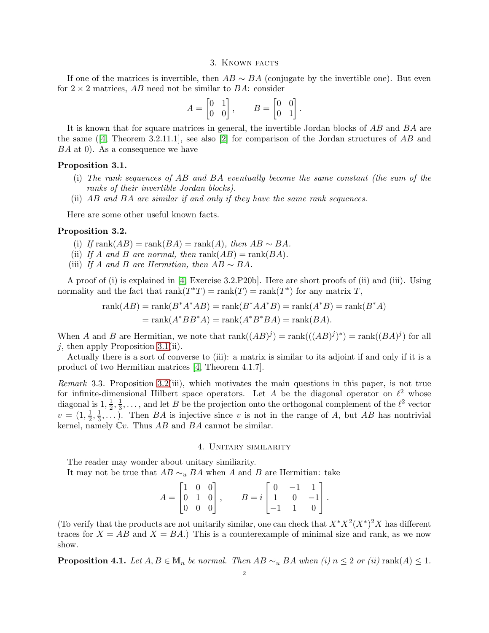#### 3. Known facts

If one of the matrices is invertible, then  $AB \sim BA$  (conjugate by the invertible one). But even for  $2 \times 2$  matrices, AB need not be similar to BA: consider

$$
A = \begin{bmatrix} 0 & 1 \\ 0 & 0 \end{bmatrix}, \qquad B = \begin{bmatrix} 0 & 0 \\ 0 & 1 \end{bmatrix}.
$$

It is known that for square matrices in general, the invertible Jordan blocks of AB and BA are the same ([\[4,](#page-6-1) Theorem 3.2.11.1], see also [\[2\]](#page-6-2) for comparison of the Jordan structures of AB and BA at 0). As a consequence we have

#### <span id="page-2-0"></span>Proposition 3.1.

- (i) The rank sequences of AB and BA eventually become the same constant (the sum of the ranks of their invertible Jordan blocks).
- (ii) AB and BA are similar if and only if they have the same rank sequences.

Here are some other useful known facts.

#### <span id="page-2-1"></span>Proposition 3.2.

- (i) If rank $(AB)$  = rank $(BA)$  = rank $(A)$ , then  $AB \sim BA$ .
- (ii) If A and B are normal, then  $rank(AB) = rank(BA)$ .
- (iii) If A and B are Hermitian, then  $AB \sim BA$ .

A proof of (i) is explained in [\[4,](#page-6-1) Exercise 3.2.P20b]. Here are short proofs of (ii) and (iii). Using normality and the fact that  $\text{rank}(T^*T) = \text{rank}(T) = \text{rank}(T^*)$  for any matrix  $T$ ,

$$
rank(AB) = rank(B^*A^*AB) = rank(B^*AA^*B) = rank(A^*B) = rank(B^*A)
$$

$$
= rank(A^*BB^*A) = rank(A^*B^*BA) = rank(BA).
$$

When A and B are Hermitian, we note that  $rank((AB)^j) = rank(((AB)^j)^*) = rank((BA)^j)$  for all  $j$ , then apply Proposition [3.1\(](#page-2-0)ii).

Actually there is a sort of converse to (iii): a matrix is similar to its adjoint if and only if it is a product of two Hermitian matrices [\[4,](#page-6-1) Theorem 4.1.7].

<span id="page-2-3"></span>Remark 3.3. Proposition [3.2\(](#page-2-1)iii), which motivates the main questions in this paper, is not true for infinite-dimensional Hilbert space operators. Let A be the diagonal operator on  $\ell^2$  whose diagonal is  $1, \frac{1}{2}$  $\frac{1}{2}, \frac{1}{3}$  $\frac{1}{3}, \ldots$ , and let B be the projection onto the orthogonal complement of the  $\ell^2$  vector  $v = (1, \frac{1}{2})$  $\frac{1}{2}$ ,  $\frac{1}{3}$  $\frac{1}{3}, \ldots$ ). Then *BA* is injective since *v* is not in the range of *A*, but *AB* has nontrivial kernel, namely  $Cv$ . Thus  $AB$  and  $BA$  cannot be similar.

#### 4. Unitary similarity

The reader may wonder about unitary similiarity.

It may not be true that  $AB \sim_u BA$  when A and B are Hermitian: take

| $A = \begin{bmatrix} 1 & 0 & 0 \ 0 & 1 & 0 \ 0 & 0 & 0 \end{bmatrix},$ |  |  | $B = i \begin{bmatrix} 0 & -1 & 1 \\ 1 & 0 & -1 \\ -1 & 1 & 0 \end{bmatrix}.$ |  |  |
|------------------------------------------------------------------------|--|--|-------------------------------------------------------------------------------|--|--|

(To verify that the products are not unitarily similar, one can check that  $X^*X^2(X^*)^2X$  has different traces for  $X = AB$  and  $X = BA$ .) This is a counterexample of minimal size and rank, as we now show.

<span id="page-2-2"></span>**Proposition 4.1.** Let  $A, B \in \mathbb{M}_n$  be normal. Then  $AB \sim_u BA$  when  $(i)$  n  $\leq 2$  or  $(ii)$  rank $(A) \leq 1$ .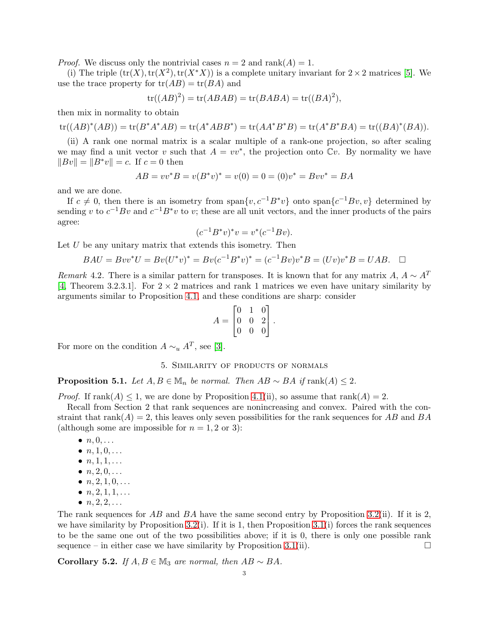*Proof.* We discuss only the nontrivial cases  $n = 2$  and  $\text{rank}(A) = 1$ .

(i) The triple  $(tr(X), tr(X^2), tr(X^*X))$  is a complete unitary invariant for  $2 \times 2$  matrices [\[5\]](#page-6-3). We use the trace property for  $tr(AB) = tr(BA)$  and

$$
\operatorname{tr}((AB)^2) = \operatorname{tr}(ABAB) = \operatorname{tr}(BABA) = \operatorname{tr}((BA)^2),
$$

then mix in normality to obtain

$$
\text{tr}((AB)^*(AB)) = \text{tr}(B^*A^*AB) = \text{tr}(A^*ABB^*) = \text{tr}(AA^*B^*B) = \text{tr}(A^*B^*BA) = \text{tr}((BA)^*(BA)).
$$

(ii) A rank one normal matrix is a scalar multiple of a rank-one projection, so after scaling we may find a unit vector v such that  $A = vv^*$ , the projection onto  $\mathbb{C}v$ . By normality we have  $||Bv|| = ||B^*v|| = c$ . If  $c = 0$  then

$$
AB = vv^*B = v(B^*v)^* = v(0) = 0 = (0)v^* = Bvv^* = BA
$$

and we are done.

If  $c \neq 0$ , then there is an isometry from span $\{v, c^{-1}B^*v\}$  onto span $\{c^{-1}Bv, v\}$  determined by sending v to  $c^{-1}Bv$  and  $c^{-1}B^*v$  to v; these are all unit vectors, and the inner products of the pairs agree:

$$
(c^{-1}B^*v)^*v = v^*(c^{-1}Bv).
$$

Let  $U$  be any unitary matrix that extends this isometry. Then

$$
BAU = Bvv^*U = Bv(U^*v)^* = Bv(c^{-1}B^*v)^* = (c^{-1}Bv)v^*B = (Uv)v^*B = UAB. \quad \Box
$$

Remark 4.2. There is a similar pattern for transposes. It is known that for any matrix A,  $A \sim A^T$ [\[4,](#page-6-1) Theorem 3.2.3.1]. For  $2 \times 2$  matrices and rank 1 matrices we even have unitary similarity by arguments similar to Proposition [4.1,](#page-2-2) and these conditions are sharp: consider

$$
A = \begin{bmatrix} 0 & 1 & 0 \\ 0 & 0 & 2 \\ 0 & 0 & 0 \end{bmatrix}.
$$

For more on the condition  $A \sim_u A^T$ , see [\[3\]](#page-6-4).

#### 5. Similarity of products of normals

**Proposition 5.1.** Let  $A, B \in \mathbb{M}_n$  be normal. Then  $AB ∼ BA$  if rank(A) ≤ 2.

*Proof.* If rank $(A) \leq 1$ , we are done by Proposition [4.1\(](#page-2-2)ii), so assume that rank $(A) = 2$ .

Recall from Section 2 that rank sequences are nonincreasing and convex. Paired with the constraint that rank( $A$ ) = 2, this leaves only seven possibilities for the rank sequences for AB and BA (although some are impossible for  $n = 1, 2$  or 3):

- $\bullet$   $n, 0, \ldots$
- $n, 1, 0, \ldots$
- $n, 1, 1, \ldots$
- $n, 2, 0, \ldots$
- $n, 2, 1, 0, \ldots$
- $n, 2, 1, 1, \ldots$
- $n, 2, 2, \ldots$

The rank sequences for  $AB$  and  $BA$  have the same second entry by Proposition [3.2\(](#page-2-1)ii). If it is 2, we have similarity by Proposition [3.2\(](#page-2-1)i). If it is 1, then Proposition [3.1\(](#page-2-0)i) forces the rank sequences to be the same one out of the two possibilities above; if it is 0, there is only one possible rank sequence – in either case we have similarity by Proposition [3.1\(](#page-2-0)ii).

Corollary 5.2. If  $A, B \in \mathbb{M}_3$  are normal, then  $AB \sim BA$ .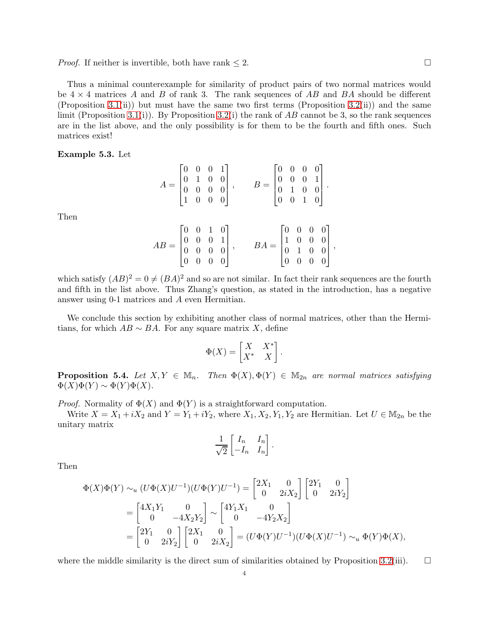*Proof.* If neither is invertible, both have rank  $\leq 2$ .

Thus a minimal counterexample for similarity of product pairs of two normal matrices would be  $4 \times 4$  matrices A and B of rank 3. The rank sequences of AB and BA should be different (Proposition [3.1\(](#page-2-0)ii)) but must have the same two first terms (Proposition [3.2\(](#page-2-1)ii)) and the same limit (Proposition [3.1\(](#page-2-0)i)). By Proposition [3.2\(](#page-2-1)i) the rank of AB cannot be 3, so the rank sequences are in the list above, and the only possibility is for them to be the fourth and fifth ones. Such matrices exist!

<span id="page-4-0"></span>Example 5.3. Let

Then

$$
A = \begin{bmatrix} 0 & 0 & 0 & 1 \\ 0 & 1 & 0 & 0 \\ 0 & 0 & 0 & 0 \\ 1 & 0 & 0 & 0 \end{bmatrix}, \qquad B = \begin{bmatrix} 0 & 0 & 0 & 0 \\ 0 & 0 & 0 & 1 \\ 0 & 1 & 0 & 0 \\ 0 & 0 & 1 & 0 \end{bmatrix}.
$$

$$
AB = \begin{bmatrix} 0 & 0 & 1 & 0 \\ 0 & 0 & 0 & 1 \\ 0 & 0 & 0 & 0 \\ 0 & 0 & 0 & 0 \end{bmatrix}, \qquad BA = \begin{bmatrix} 0 & 0 & 0 & 0 \\ 1 & 0 & 0 & 0 \\ 0 & 1 & 0 & 0 \\ 0 & 0 & 0 & 0 \end{bmatrix}
$$

,

which satisfy  $(AB)^2 = 0 \neq (BA)^2$  and so are not similar. In fact their rank sequences are the fourth and fifth in the list above. Thus Zhang's question, as stated in the introduction, has a negative answer using 0-1 matrices and A even Hermitian.

We conclude this section by exhibiting another class of normal matrices, other than the Hermitians, for which  $AB \sim BA$ . For any square matrix X, define

$$
\Phi(X) = \begin{bmatrix} X & X^* \\ X^* & X \end{bmatrix}.
$$

**Proposition 5.4.** Let  $X, Y \in \mathbb{M}_n$ . Then  $\Phi(X), \Phi(Y) \in \mathbb{M}_{2n}$  are normal matrices satisfying  $\Phi(X)\Phi(Y) \sim \Phi(Y)\Phi(X).$ 

*Proof.* Normality of  $\Phi(X)$  and  $\Phi(Y)$  is a straightforward computation.

Write  $X = X_1 + iX_2$  and  $Y = Y_1 + iY_2$ , where  $X_1, X_2, Y_1, Y_2$  are Hermitian. Let  $U \in M_{2n}$  be the unitary matrix

$$
\frac{1}{\sqrt{2}} \begin{bmatrix} I_n & I_n \\ -I_n & I_n \end{bmatrix}
$$

.

Then

$$
\Phi(X)\Phi(Y) \sim_u (U\Phi(X)U^{-1})(U\Phi(Y)U^{-1}) = \begin{bmatrix} 2X_1 & 0 \\ 0 & 2iX_2 \end{bmatrix} \begin{bmatrix} 2Y_1 & 0 \\ 0 & 2iY_2 \end{bmatrix}
$$
  
= 
$$
\begin{bmatrix} 4X_1Y_1 & 0 \\ 0 & -4X_2Y_2 \end{bmatrix} \sim \begin{bmatrix} 4Y_1X_1 & 0 \\ 0 & -4Y_2X_2 \end{bmatrix}
$$
  
= 
$$
\begin{bmatrix} 2Y_1 & 0 \\ 0 & 2iY_2 \end{bmatrix} \begin{bmatrix} 2X_1 & 0 \\ 0 & 2iX_2 \end{bmatrix} = (U\Phi(Y)U^{-1})(U\Phi(X)U^{-1}) \sim_u \Phi(Y)\Phi(X),
$$

where the middle similarity is the direct sum of similarities obtained by Proposition [3.2\(](#page-2-1)iii).  $\Box$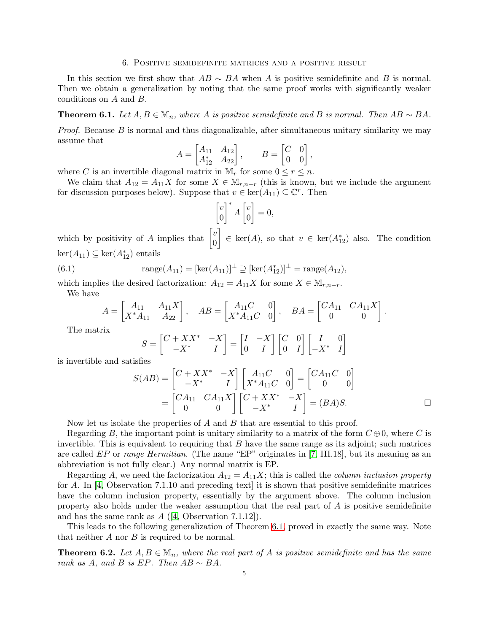#### 6. Positive semidefinite matrices and a positive result

In this section we first show that  $AB \sim BA$  when A is positive semidefinite and B is normal. Then we obtain a generalization by noting that the same proof works with significantly weaker conditions on A and B.

<span id="page-5-0"></span>**Theorem 6.1.** Let  $A, B \in \mathbb{M}_n$ , where A is positive semidefinite and B is normal. Then  $AB \sim BA$ .

*Proof.* Because B is normal and thus diagonalizable, after simultaneous unitary similarity we may assume that

$$
A = \begin{bmatrix} A_{11} & A_{12} \\ A_{12}^* & A_{22} \end{bmatrix}, \qquad B = \begin{bmatrix} C & 0 \\ 0 & 0 \end{bmatrix},
$$

where C is an invertible diagonal matrix in  $\mathbb{M}_r$  for some  $0 \leq r \leq n$ .

We claim that  $A_{12} = A_{11}X$  for some  $X \in M_{r,n-r}$  (this is known, but we include the argument for discussion purposes below). Suppose that  $v \in \text{ker}(A_{11}) \subseteq \mathbb{C}^r$ . Then

$$
\begin{bmatrix} v \\ 0 \end{bmatrix}^* A \begin{bmatrix} v \\ 0 \end{bmatrix} = 0,
$$

which by positivity of A implies that  $\begin{bmatrix} v \\ o \end{bmatrix}$ 0  $\Big] \in \ker(A)$ , so that  $v \in \ker(A_{12}^*)$  also. The condition  $\ker(A_{11}) \subseteq \ker(A_{12}^*)$  entails

(6.1) 
$$
\text{range}(A_{11}) = [\text{ker}(A_{11})]^\perp \supseteq [\text{ker}(A_{12}^*)]^\perp = \text{range}(A_{12}),
$$

which implies the desired factorization:  $A_{12} = A_{11}X$  for some  $X \in M_{r,n-r}$ .

We have

<span id="page-5-2"></span>
$$
A = \begin{bmatrix} A_{11} & A_{11} X \\ X^* A_{11} & A_{22} \end{bmatrix}, \quad AB = \begin{bmatrix} A_{11}C & 0 \\ X^* A_{11}C & 0 \end{bmatrix}, \quad BA = \begin{bmatrix} CA_{11} & CA_{11} X \\ 0 & 0 \end{bmatrix}.
$$

The matrix

$$
S = \begin{bmatrix} C + XX^* & -X \\ -X^* & I \end{bmatrix} = \begin{bmatrix} I & -X \\ 0 & I \end{bmatrix} \begin{bmatrix} C & 0 \\ 0 & I \end{bmatrix} \begin{bmatrix} I & 0 \\ -X^* & I \end{bmatrix}
$$

is invertible and satisfies

$$
S(AB) = \begin{bmatrix} C + XX^* & -X \\ -X^* & I \end{bmatrix} \begin{bmatrix} A_{11}C & 0 \\ X^*A_{11}C & 0 \end{bmatrix} = \begin{bmatrix} CA_{11}C & 0 \\ 0 & 0 \end{bmatrix}
$$

$$
= \begin{bmatrix} CA_{11} & CA_{11}X \\ 0 & 0 \end{bmatrix} \begin{bmatrix} C + XX^* & -X \\ -X^* & I \end{bmatrix} = (BA)S.
$$

Now let us isolate the properties of  $A$  and  $B$  that are essential to this proof.

Regarding B, the important point is unitary similarity to a matrix of the form  $C \oplus 0$ , where C is invertible. This is equivalent to requiring that  $B$  have the same range as its adjoint; such matrices are called  $EP$  or range Hermitian. (The name "EP" originates in [\[7,](#page-6-5) III.18], but its meaning as an abbreviation is not fully clear.) Any normal matrix is EP.

Regarding A, we need the factorization  $A_{12} = A_{11}X$ ; this is called the *column inclusion property* for A. In [\[4,](#page-6-1) Observation 7.1.10 and preceding text] it is shown that positive semidefinite matrices have the column inclusion property, essentially by the argument above. The column inclusion property also holds under the weaker assumption that the real part of A is positive semidefinite and has the same rank as  $A$  ([\[4,](#page-6-1) Observation 7.1.12]).

This leads to the following generalization of Theorem [6.1,](#page-5-0) proved in exactly the same way. Note that neither  $A$  nor  $B$  is required to be normal.

<span id="page-5-1"></span>**Theorem 6.2.** Let  $A, B \in \mathbb{M}_n$ , where the real part of A is positive semidefinite and has the same rank as A, and B is EP. Then  $AB \sim BA$ .